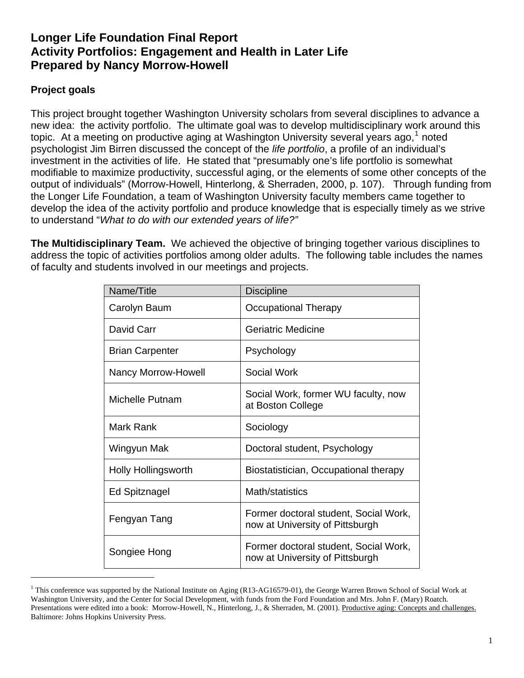## **Longer Life Foundation Final Report Activity Portfolios: Engagement and Health in Later Life Prepared by Nancy Morrow-Howell**

## **Project goals**

 $\overline{a}$ 

This project brought together Washington University scholars from several disciplines to advance a new idea: the activity portfolio. The ultimate goal was to develop multidisciplinary work around this topic. At a meeting on productive aging at Washington University several years ago,<sup>[1](#page-0-0)</sup> noted psychologist Jim Birren discussed the concept of the *life portfolio*, a profile of an individual's investment in the activities of life. He stated that "presumably one's life portfolio is somewhat modifiable to maximize productivity, successful aging, or the elements of some other concepts of the output of individuals" (Morrow-Howell, Hinterlong, & Sherraden, 2000, p. 107). Through funding from the Longer Life Foundation, a team of Washington University faculty members came together to develop the idea of the activity portfolio and produce knowledge that is especially timely as we strive to understand "*What to do with our extended years of life?"*

**The Multidisciplinary Team.** We achieved the objective of bringing together various disciplines to address the topic of activities portfolios among older adults. The following table includes the names of faculty and students involved in our meetings and projects.

| Name/Title                 | <b>Discipline</b>                                                        |
|----------------------------|--------------------------------------------------------------------------|
| Carolyn Baum               | <b>Occupational Therapy</b>                                              |
| David Carr                 | Geriatric Medicine                                                       |
| <b>Brian Carpenter</b>     | Psychology                                                               |
| Nancy Morrow-Howell        | Social Work                                                              |
| Michelle Putnam            | Social Work, former WU faculty, now<br>at Boston College                 |
| Mark Rank                  | Sociology                                                                |
| Wingyun Mak                | Doctoral student, Psychology                                             |
| <b>Holly Hollingsworth</b> | Biostatistician, Occupational therapy                                    |
| Ed Spitznagel              | Math/statistics                                                          |
| Fengyan Tang               | Former doctoral student, Social Work,<br>now at University of Pittsburgh |
| Songiee Hong               | Former doctoral student, Social Work,<br>now at University of Pittsburgh |

<span id="page-0-0"></span><sup>&</sup>lt;sup>1</sup> This conference was supported by the National Institute on Aging (R13-AG16579-01), the George Warren Brown School of Social Work at Washington University, and the Center for Social Development, with funds from the Ford Foundation and Mrs. John F. (Mary) Roatch. Presentations were edited into a book: Morrow-Howell, N., Hinterlong, J., & Sherraden, M. (2001). Productive aging: Concepts and challenges. Baltimore: Johns Hopkins University Press.